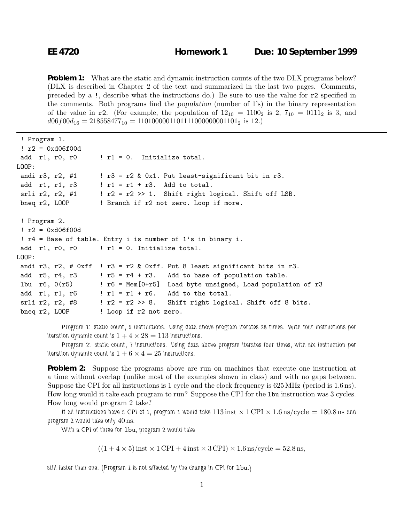**Problem 1:** What are the static and dynamic instruction counts of the two DLX programs below? (DLX is described in Chapter 2 of the text and summarized in the last two pages. Comments, preceded by a !, describe what the instructions do.) Be sure to use the value for r2 specified in the comments. Both programs find the *population* (number of 1's) in the binary representation of the value in  $r2$ . (For example, the population of  $12_{10} = 1100_2$  is 2,  $7_{10} = 0111_2$  is 3, and  $d06f00d_{16} = 218558477_{10} = 1101000001101111000000001101_2$  is 12.)

```
! Program 1.
 ! r2 = 0xd06f00d
 add r1, r0, r0 \cdot ! r1 = 0. Initialize total.
LOOP:
 andi r3, r2, #1 \; ! r3 = r2 & 0x1. Put least-significant bit in r3.
 add r1, r1, r3 | r1 = r1 + r3. Add to total.
 srli r2, r2, #1 : : r2 = r2 \gg 1. Shift right logical. Shift off LSB.
 bneq r2, LOOP ! Branch if r2 not zero. Loop if more.
 ! Program 2.
 : r2 = 0x d06f00d! r4 = Base of table. Entry i is number of 1's in binary i.
 add r1, r0, r0 \qquad ! r1 = 0. Initialize total.
LOOP:
 andi r3, r2, # 0xff ! r3 = r2 & 0xff. Put 8 least significant bits in r3.
 add r5, r4, r3 \cdot ! r5 = r4 + r3. Add to base of population table.
 lbu r6, 0(r5) ! r6 = Mem[0+r5] Load byte unsigned, Load population of r3
 add r1, r1, r6 ! r1 = r1 + r6. Add to the total.
 srli r2, r2, #8 ! r2 = r2 >> 8. Shift right logical. Shift off 8 bits.
 bneq r2, LOOP ! Loop if r2 not zero.
```
*Program 1: static count, 5 instructions. Using data above program iterates 28 times. With four instructions per iteration dynamic count is*  $1+4 \times 28 = 113$  *instructions.* 

*Program 2: static count, 7 instructions. Using data above program iterates four times, with six instruction per iteration dynamic count is*  $1+6 \times 4 = 25$  *instructions.* 

**Problem 2:** Suppose the programs above are run on machines that execute one instruction at a time without overlap (unlike most of the examples shown in class) and with no gaps between. Suppose the CPI for all instructions is 1 cycle and the clock frequency is 625MHz (period is 1.6ns). How long would it take each program to run? Suppose the CPI for the lbu instruction was 3 cycles. How long would program 2 take?

If all instructions have a CPI of 1, program 1 would take  $113$  inst  $\times$  1 CPI  $\times$  1.6 ns/cycle = 180.8 ns and *program 2 would take only* 40ns*.*

*With a CPI of three for* lbu*, program 2 would take*

 $((1+4\times5)$  inst  $\times$  1 CPI + 4 inst  $\times$  3 CPI)  $\times$  1.6 ns/cycle = 52.8 ns,

*still faster than one. (Program 1 is not affected by the change in CPI for 1bu.)*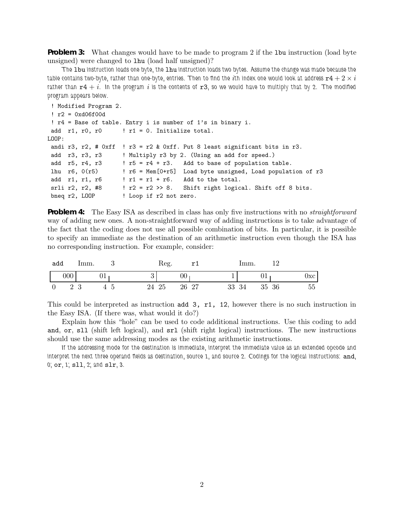**Problem 3:** What changes would have to be made to program 2 if the 1bu instruction (load byte unsigned) were changed to lhu (load half unsigned)?

*The* lbu *instruction loads one byte, the* lhu *instruction loads two bytes. Assume the change was made because the*  $t$ able contains two-byte, rather than one-byte, entries. Then to find the  $i$ th index one would look at address  $\mathtt{r4} + 2 \times i$ rather than  $r4 + i$ . In the program i is the contents of  $r3$ , so we would have to multiply that by 2. The modified *program appears below.*

```
! Modified Program 2.
! r2 = 0x d06f00d! r4 = Base of table. Entry i is number of 1's in binary i.
add r1, r0, r0 \cdot ! r1 = 0. Initialize total.
LOOP:
andi r3, r2, # 0xff ! r3 = r2 & 0xff. Put 8 least significant bits in r3.
add r3, r3, r3 <br> ! Multiply r3 by 2. (Using an add for speed.)
add r5, r4, r3 ! r5 = r4 + r3. Add to base of population table.
lhu r6, 0(r5) ! r6 = Mem[0+r5] Load byte unsigned, Load population of r3
add r1, r1, r6 ! r1 = r1 + r6. Add to the total.
srli r2, r2, #8 ! r2 = r2 >> 8. Shift right logical. Shift off 8 bits.
bneq r2, LOOP ! Loop if r2 not zero.
```
**Problem 4:** The Easy ISA as described in class has only five instructions with no *straightforward* way of adding new ones. A non-straightforward way of adding instructions is to take advantage of the fact that the coding does not use all possible combination of bits. In particular, it is possible to specify an immediate as the destination of an arithmetic instruction even though the ISA has no corresponding instruction. For example, consider:

| add | 'mm. |    | Reg.  | m 1    | 'mm.  |       |     |
|-----|------|----|-------|--------|-------|-------|-----|
| 000 | UT.  |    |       | $00\,$ |       | UŦ    | Jxc |
| 2 3 |      | 45 | 24 25 | 26 27  | 33 34 | 35 36 | 55  |

This could be interpreted as instruction add 3, r1, 12, however there is no such instruction in the Easy ISA. (If there was, what would it do?)

Explain how this "hole" can be used to code additional instructions. Use this coding to add and, or, sll (shift left logical), and srl (shift right logical) instructions. The new instructions should use the same addressing modes as the existing arithmetic instructions.

*If the addressing mode for the destination is immediate, interpret the immediate value as an extended opcode and interpret the next three operand fields as destination, source 1, and source 2. Codings for the logical instructions:* and*, 0;* or*, 1;* sll*, 2; and* slr*, 3.*